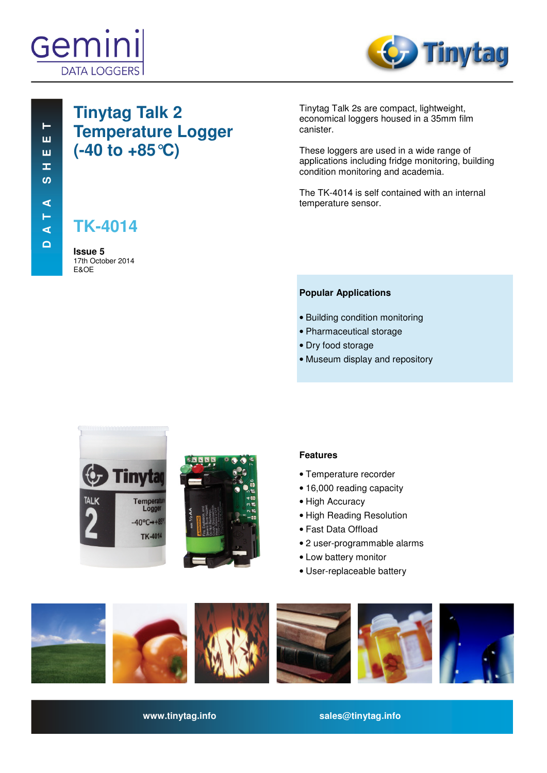



# **Tinytag Talk 2 Temperature Logger (-40 to +85°C)**

**TK-4014**

**Issue 5**  17th October 2014 E&OE

Tinytag Talk 2s are compact, lightweight, economical loggers housed in a 35mm film canister.

These loggers are used in a wide range of applications including fridge monitoring, building condition monitoring and academia.

The TK-4014 is self contained with an internal temperature sensor.

# **Popular Applications**

- Building condition monitoring
- Pharmaceutical storage
- Dry food storage
- Museum display and repository





# **Features**

- Temperature recorder
- 16,000 reading capacity
- High Accuracy
- High Reading Resolution
- Fast Data Offload
- 2 user-programmable alarms
- Low battery monitor
- User-replaceable battery



**www.tinytag.info sales@tinytag.info**